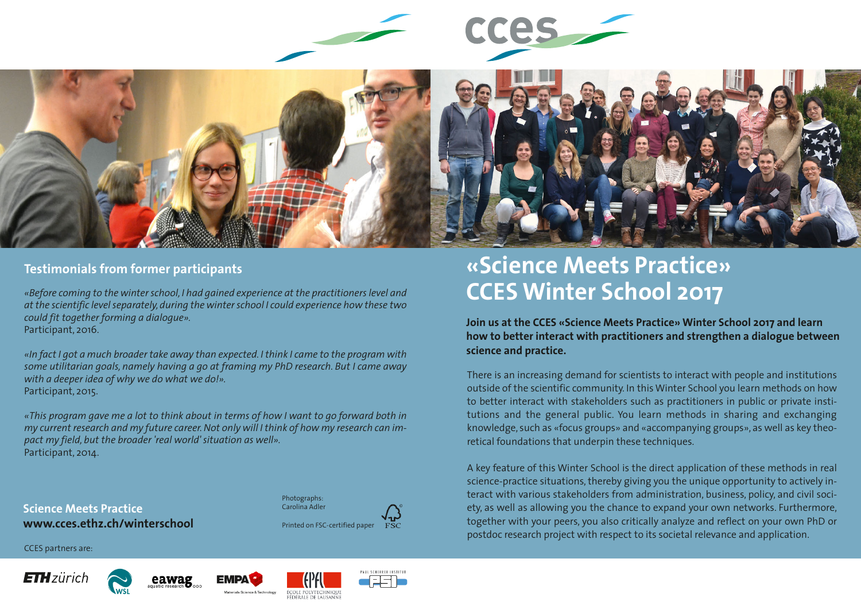

CCES-



# **Testimonials from former participants**

*«Before coming to the winter school, I had gained experience at the practitioners level and at the scientific level separately, during the winter school I could experience how these two could fit together forming a dialogue».* Participant, 2016.

*«In fact I got a much broader take away than expected. I think I came to the program with some utilitarian goals, namely having a go at framing my PhD research. But I came away with a deeper idea of why we do what we do!».*  Participant, 2015.

*«This program gave me a lot to think about in terms of how I want to go forward both in my current research and my future career. Not only will I think of how my research can impact my field, but the broader 'real world' situation as well».*  Participant, 2014.

**Science Meets Practice www.cces.ethz.ch/winterschool**

CCES partners are:









Printed on FSC-certified paper

Photographs: arolina Adler



**Join us at the CCES «Science Meets Practice» Winter School 2017 and learn how to better interact with practitioners and strengthen a dialogue between science and practice.**

There is an increasing demand for scientists to interact with people and institutions outside of the scientific community. In this Winter School you learn methods on how to better interact with stakeholders such as practitioners in public or private institutions and the general public. You learn methods in sharing and exchanging knowledge, such as «focus groups» and «accompanying groups», as well as key theoretical foundations that underpin these techniques.

A key feature of this Winter School is the direct application of these methods in real science-practice situations, thereby giving you the unique opportunity to actively interact with various stakeholders from administration, business, policy, and civil society, as well as allowing you the chance to expand your own networks. Furthermore, together with your peers, you also critically analyze and reflect on your own PhD or postdoc research project with respect to its societal relevance and application.